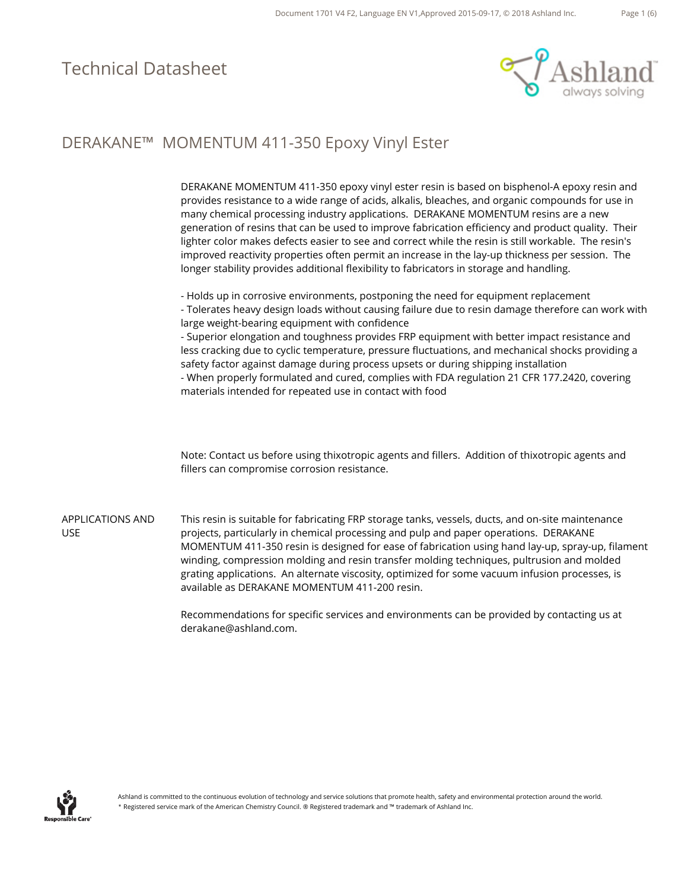

## DERAKANE™ MOMENTUM 411-350 Epoxy Vinyl Ester

|                                       | DERAKANE MOMENTUM 411-350 epoxy vinyl ester resin is based on bisphenol-A epoxy resin and<br>provides resistance to a wide range of acids, alkalis, bleaches, and organic compounds for use in<br>many chemical processing industry applications. DERAKANE MOMENTUM resins are a new<br>generation of resins that can be used to improve fabrication efficiency and product quality. Their<br>lighter color makes defects easier to see and correct while the resin is still workable. The resin's<br>improved reactivity properties often permit an increase in the lay-up thickness per session. The<br>longer stability provides additional flexibility to fabricators in storage and handling. |
|---------------------------------------|----------------------------------------------------------------------------------------------------------------------------------------------------------------------------------------------------------------------------------------------------------------------------------------------------------------------------------------------------------------------------------------------------------------------------------------------------------------------------------------------------------------------------------------------------------------------------------------------------------------------------------------------------------------------------------------------------|
|                                       | - Holds up in corrosive environments, postponing the need for equipment replacement<br>- Tolerates heavy design loads without causing failure due to resin damage therefore can work with<br>large weight-bearing equipment with confidence<br>- Superior elongation and toughness provides FRP equipment with better impact resistance and<br>less cracking due to cyclic temperature, pressure fluctuations, and mechanical shocks providing a<br>safety factor against damage during process upsets or during shipping installation<br>- When properly formulated and cured, complies with FDA regulation 21 CFR 177.2420, covering<br>materials intended for repeated use in contact with food |
|                                       | Note: Contact us before using thixotropic agents and fillers. Addition of thixotropic agents and<br>fillers can compromise corrosion resistance.                                                                                                                                                                                                                                                                                                                                                                                                                                                                                                                                                   |
| <b>APPLICATIONS AND</b><br><b>USE</b> | This resin is suitable for fabricating FRP storage tanks, vessels, ducts, and on-site maintenance<br>projects, particularly in chemical processing and pulp and paper operations. DERAKANE<br>MOMENTUM 411-350 resin is designed for ease of fabrication using hand lay-up, spray-up, filament<br>winding, compression molding and resin transfer molding techniques, pultrusion and molded<br>grating applications. An alternate viscosity, optimized for some vacuum infusion processes, is<br>available as DERAKANE MOMENTUM 411-200 resin.                                                                                                                                                     |

Recommendations for specific services and environments can be provided by contacting us at derakane@ashland.com.

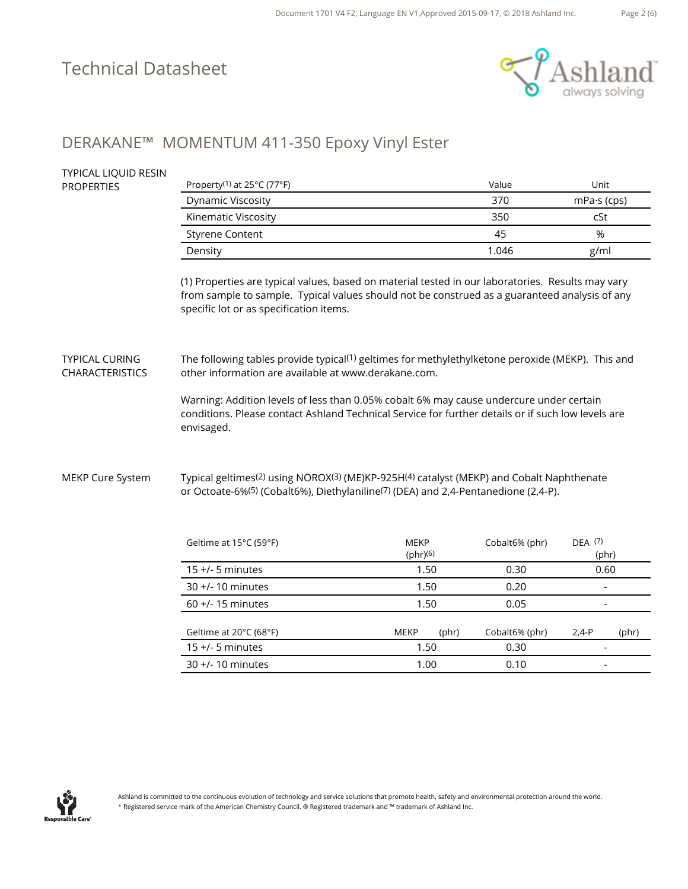TYPICAL LIQUID RESIN



## DERAKANE™ MOMENTUM 411-350 Epoxy Vinyl Ester

| <b>IT PICAL LIQUID RESIIN</b><br><b>PROPERTIES</b> | Property <sup>(1)</sup> at 25°C (77°F)                                                                                                                                                                                                        |                         | Value          | Unit                     |  |  |
|----------------------------------------------------|-----------------------------------------------------------------------------------------------------------------------------------------------------------------------------------------------------------------------------------------------|-------------------------|----------------|--------------------------|--|--|
|                                                    | Dynamic Viscosity                                                                                                                                                                                                                             |                         | 370            | mPa·s (cps)              |  |  |
|                                                    | Kinematic Viscosity                                                                                                                                                                                                                           |                         | 350            | cSt                      |  |  |
|                                                    | <b>Styrene Content</b>                                                                                                                                                                                                                        |                         | 45             | %                        |  |  |
|                                                    | Density                                                                                                                                                                                                                                       |                         | 1.046          | g/ml                     |  |  |
|                                                    | (1) Properties are typical values, based on material tested in our laboratories. Results may vary<br>from sample to sample. Typical values should not be construed as a guaranteed analysis of any<br>specific lot or as specification items. |                         |                |                          |  |  |
| <b>TYPICAL CURING</b><br><b>CHARACTERISTICS</b>    | The following tables provide typical <sup>(1)</sup> geltimes for methylethylketone peroxide (MEKP). This and<br>other information are available at www.derakane.com.                                                                          |                         |                |                          |  |  |
|                                                    | Warning: Addition levels of less than 0.05% cobalt 6% may cause undercure under certain<br>conditions. Please contact Ashland Technical Service for further details or if such low levels are<br>envisaged.                                   |                         |                |                          |  |  |
| MEKP Cure System                                   | Typical geltimes <sup>(2)</sup> using NOROX <sup>(3)</sup> (ME)KP-925H <sup>(4)</sup> catalyst (MEKP) and Cobalt Naphthenate<br>or Octoate-6% <sup>(5)</sup> (Cobalt6%), Diethylaniline <sup>(7)</sup> (DEA) and 2,4-Pentanedione (2,4-P).    |                         |                |                          |  |  |
|                                                    | Geltime at 15°C (59°F)                                                                                                                                                                                                                        | <b>MEKP</b><br>(bhr)(6) | Cobalt6% (phr) | DEA (7)<br>(phr)         |  |  |
|                                                    | 15 +/- 5 minutes                                                                                                                                                                                                                              | 1.50                    | 0.30           | 0.60                     |  |  |
|                                                    | $30 +/- 10$ minutes                                                                                                                                                                                                                           | 1.50                    | 0.20           | $\overline{\phantom{a}}$ |  |  |
|                                                    | 60 +/- 15 minutes                                                                                                                                                                                                                             | 1.50                    | 0.05           | $\overline{\phantom{a}}$ |  |  |
|                                                    | Geltime at 20°C (68°F)                                                                                                                                                                                                                        | <b>MEKP</b><br>(phr)    | Cobalt6% (phr) | $2,4-P$<br>(phr)         |  |  |
|                                                    | 15 +/- 5 minutes                                                                                                                                                                                                                              | 1.50                    | 0.30           |                          |  |  |
|                                                    | 30 +/- 10 minutes                                                                                                                                                                                                                             | 1.00                    | 0.10           |                          |  |  |

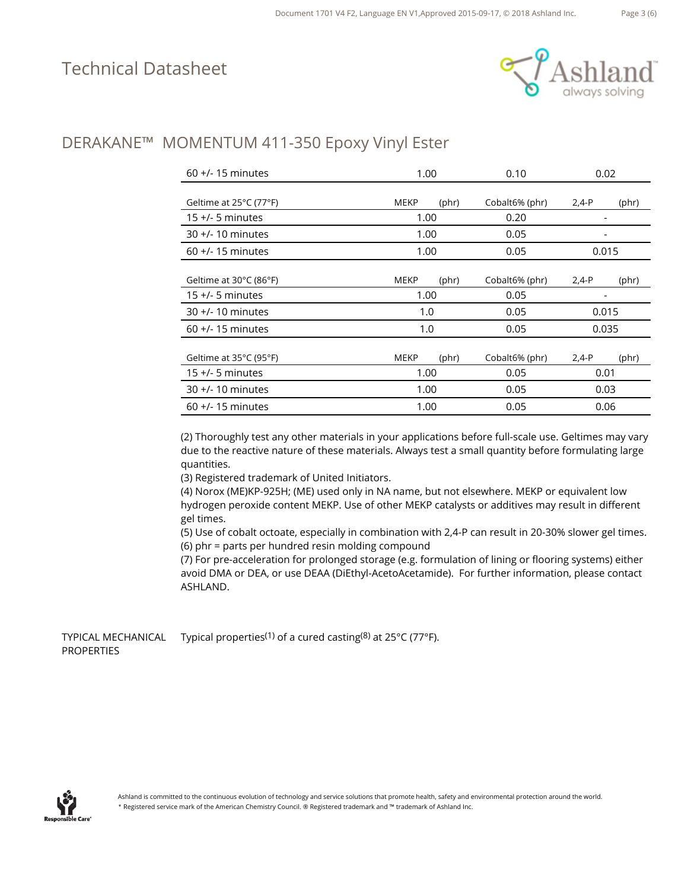

### DERAKANE™ MOMENTUM 411-350 Epoxy Vinyl Ester

| $60 +/- 15$ minutes    | 1.00        |                | 0.10           | 0.02    |                |  |
|------------------------|-------------|----------------|----------------|---------|----------------|--|
|                        |             |                |                |         |                |  |
| Geltime at 25°C (77°F) | <b>MEKP</b> | $(\text{phr})$ | Cobalt6% (phr) | $2,4-P$ | (phr)          |  |
| $15 +/- 5$ minutes     | 1.00        |                | 0.20           |         |                |  |
| $30 +/- 10$ minutes    | 1.00        |                | 0.05           | -       |                |  |
| $60 +$ /-15 minutes    | 1.00        |                | 0.05           | 0.015   |                |  |
|                        |             |                |                |         |                |  |
| Geltime at 30°C (86°F) | <b>MEKP</b> | (bhr)          | Cobalt6% (phr) | $2,4-P$ | (phr)          |  |
| $15 +/- 5$ minutes     | 1.00        |                | 0.05           |         |                |  |
| $30 +$ /-10 minutes    | 1.0         |                | 0.05           | 0.015   |                |  |
| $60 +$ /-15 minutes    | 1.0         |                | 0.05           | 0.035   |                |  |
|                        |             |                |                |         |                |  |
| Geltime at 35°C (95°F) | <b>MEKP</b> | $(\text{phr})$ | Cobalt6% (phr) | $2,4-P$ | $(\text{phr})$ |  |
| $15 +/- 5$ minutes     | 1.00        |                | 0.05           |         | 0.01           |  |
| $30 +$ /-10 minutes    | 1.00        |                | 0.05           |         | 0.03           |  |
| $60 +/- 15$ minutes    | 1.00        |                | 0.05           | 0.06    |                |  |

(2) Thoroughly test any other materials in your applications before full-scale use. Geltimes may vary due to the reactive nature of these materials. Always test a small quantity before formulating large quantities.

(3) Registered trademark of United Initiators.

(4) Norox (ME)KP-925H; (ME) used only in NA name, but not elsewhere. MEKP or equivalent low hydrogen peroxide content MEKP. Use of other MEKP catalysts or additives may result in different gel times.

(5) Use of cobalt octoate, especially in combination with 2,4-P can result in 20-30% slower gel times. (6) phr = parts per hundred resin molding compound

(7) For pre-acceleration for prolonged storage (e.g. formulation of lining or flooring systems) either avoid DMA or DEA, or use DEAA (DiEthyl-AcetoAcetamide). For further information, please contact ASHLAND.

TYPICAL MECHANICAL PROPERTIES Typical properties(1) of a cured casting(8) at 25°C (77°F).

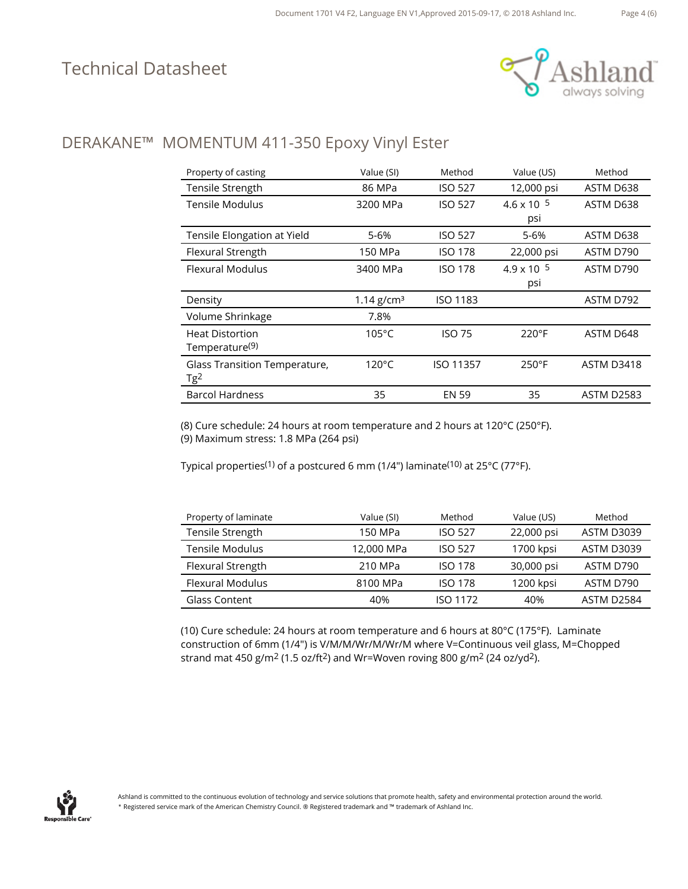

## DERAKANE™ MOMENTUM 411-350 Epoxy Vinyl Ester

| Property of casting           | Value (SI)               | Method           | Value (US)           | Method            |
|-------------------------------|--------------------------|------------------|----------------------|-------------------|
| Tensile Strength              | 86 MPa                   | <b>ISO 527</b>   | 12,000 psi           | ASTM D638         |
| Tensile Modulus               | 3200 MPa                 | <b>ISO 527</b>   | $4.6 \times 10^{-5}$ | ASTM D638         |
|                               |                          |                  | psi                  |                   |
| Tensile Elongation at Yield   | 5-6%                     | <b>ISO 527</b>   | 5-6%                 | ASTM D638         |
| Flexural Strength             | 150 MPa                  | <b>ISO 178</b>   | 22,000 psi           | ASTM D790         |
| Flexural Modulus              | 3400 MPa                 | <b>ISO 178</b>   | $4.9 \times 10^{-5}$ | ASTM D790         |
|                               |                          |                  | psi                  |                   |
| Density                       | $1.14$ g/cm <sup>3</sup> | <b>ISO 1183</b>  |                      | ASTM D792         |
| Volume Shrinkage              | 7.8%                     |                  |                      |                   |
| <b>Heat Distortion</b>        | 105°C                    | ISO 75           | $220^{\circ}F$       | ASTM D648         |
| Temperature <sup>(9)</sup>    |                          |                  |                      |                   |
| Glass Transition Temperature, | $120^{\circ}$ C          | <b>ISO 11357</b> | $250^{\circ}$ F      | ASTM D3418        |
| Tg <sup>2</sup>               |                          |                  |                      |                   |
| <b>Barcol Hardness</b>        | 35                       | <b>EN 59</b>     | 35                   | <b>ASTM D2583</b> |

(8) Cure schedule: 24 hours at room temperature and 2 hours at 120°C (250°F). (9) Maximum stress: 1.8 MPa (264 psi)

Typical properties(1) of a postcured 6 mm (1/4") laminate(10) at 25°C (77°F).

| Property of laminate | Value (SI) | Method          | Value (US) | Method            |
|----------------------|------------|-----------------|------------|-------------------|
| Tensile Strength     | 150 MPa    | <b>ISO 527</b>  | 22,000 psi | <b>ASTM D3039</b> |
| Tensile Modulus      | 12,000 MPa | <b>ISO 527</b>  | 1700 kpsi  | <b>ASTM D3039</b> |
| Flexural Strength    | 210 MPa    | <b>ISO 178</b>  | 30,000 psi | ASTM D790         |
| Flexural Modulus     | 8100 MPa   | <b>ISO 178</b>  | 1200 kpsi  | ASTM D790         |
| Glass Content        | 40%        | <b>ISO 1172</b> | 40%        | ASTM D2584        |

(10) Cure schedule: 24 hours at room temperature and 6 hours at 80°C (175°F). Laminate construction of 6mm (1/4") is V/M/M/Wr/M/Wr/M where V=Continuous veil glass, M=Chopped strand mat 450 g/m2 (1.5 oz/ft2) and Wr=Woven roving 800 g/m2 (24 oz/yd2).

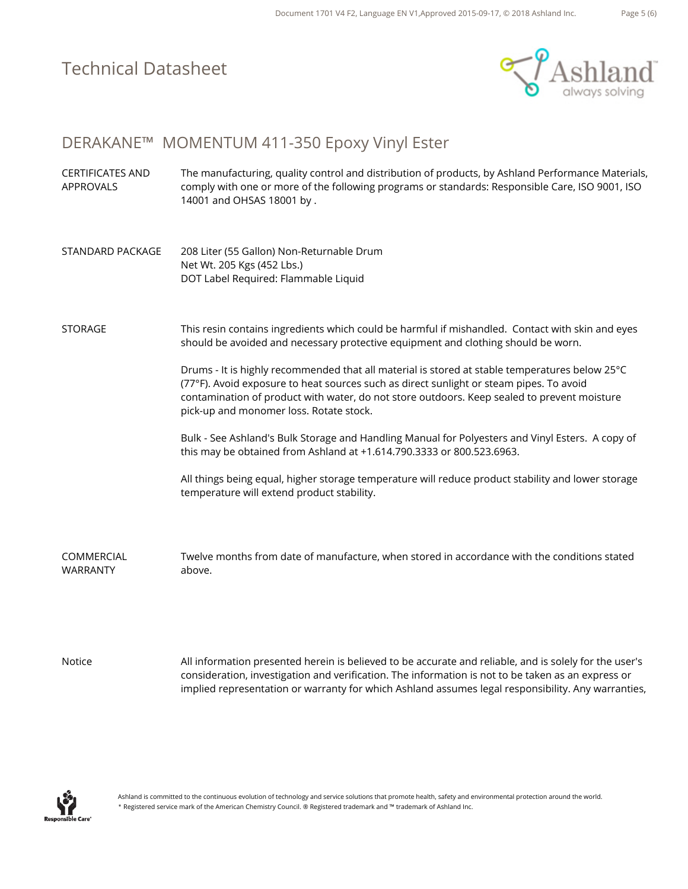

Page 5 (6)

#### DERAKANE™ MOMENTUM 411-350 Epoxy Vinyl Ester

- CERTIFICATES AND APPROVALS The manufacturing, quality control and distribution of products, by Ashland Performance Materials, comply with one or more of the following programs or standards: Responsible Care, ISO 9001, ISO 14001 and OHSAS 18001 by .
- STANDARD PACKAGE 208 Liter (55 Gallon) Non-Returnable Drum Net Wt. 205 Kgs (452 Lbs.) DOT Label Required: Flammable Liquid

#### STORAGE This resin contains ingredients which could be harmful if mishandled. Contact with skin and eyes should be avoided and necessary protective equipment and clothing should be worn.

Drums - It is highly recommended that all material is stored at stable temperatures below 25°C (77°F). Avoid exposure to heat sources such as direct sunlight or steam pipes. To avoid contamination of product with water, do not store outdoors. Keep sealed to prevent moisture pick-up and monomer loss. Rotate stock.

Bulk - See Ashland's Bulk Storage and Handling Manual for Polyesters and Vinyl Esters. A copy of this may be obtained from Ashland at +1.614.790.3333 or 800.523.6963.

All things being equal, higher storage temperature will reduce product stability and lower storage temperature will extend product stability.

COMMERCIAL WARRANTY Twelve months from date of manufacture, when stored in accordance with the conditions stated above.

Notice All information presented herein is believed to be accurate and reliable, and is solely for the user's consideration, investigation and verification. The information is not to be taken as an express or implied representation or warranty for which Ashland assumes legal responsibility. Any warranties,